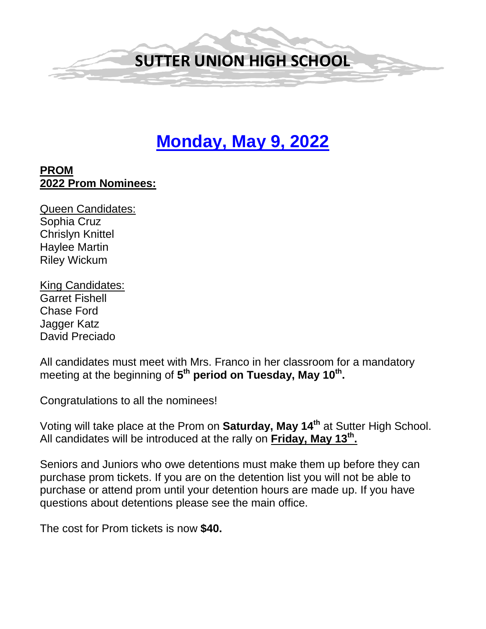

# **Monday, May 9, 2022**

#### **PROM 2022 Prom Nominees:**

Queen Candidates: Sophia Cruz Chrislyn Knittel Haylee Martin Riley Wickum

King Candidates: Garret Fishell Chase Ford Jagger Katz David Preciado

All candidates must meet with Mrs. Franco in her classroom for a mandatory meeting at the beginning of 5<sup>th</sup> period on Tuesday, May 10<sup>th</sup>.

Congratulations to all the nominees!

Voting will take place at the Prom on **Saturday, May 14th** at Sutter High School. All candidates will be introduced at the rally on **Friday, May 13th.** 

Seniors and Juniors who owe detentions must make them up before they can purchase prom tickets. If you are on the detention list you will not be able to purchase or attend prom until your detention hours are made up. If you have questions about detentions please see the main office.

The cost for Prom tickets is now **\$40.**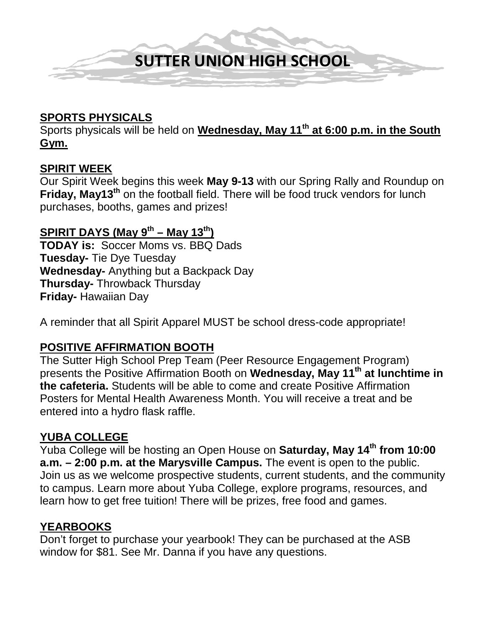

#### **SPORTS PHYSICALS**

Sports physicals will be held on **Wednesday, May 11th at 6:00 p.m. in the South Gym.** 

#### **SPIRIT WEEK**

Our Spirit Week begins this week **May 9-13** with our Spring Rally and Roundup on **Friday, May13th** on the football field. There will be food truck vendors for lunch purchases, booths, games and prizes!

# **SPIRIT DAYS (May**  $9^{th}$  **– May 13<sup>th</sup>)**

**TODAY is:** Soccer Moms vs. BBQ Dads **Tuesday-** Tie Dye Tuesday **Wednesday-** Anything but a Backpack Day **Thursday-** Throwback Thursday **Friday-** Hawaiian Day

A reminder that all Spirit Apparel MUST be school dress-code appropriate!

#### **POSITIVE AFFIRMATION BOOTH**

The Sutter High School Prep Team (Peer Resource Engagement Program) presents the Positive Affirmation Booth on **Wednesday, May 11th at lunchtime in the cafeteria.** Students will be able to come and create Positive Affirmation Posters for Mental Health Awareness Month. You will receive a treat and be entered into a hydro flask raffle.

#### **YUBA COLLEGE**

Yuba College will be hosting an Open House on **Saturday, May 14th from 10:00 a.m. – 2:00 p.m. at the Marysville Campus.** The event is open to the public. Join us as we welcome prospective students, current students, and the community to campus. Learn more about Yuba College, explore programs, resources, and learn how to get free tuition! There will be prizes, free food and games.

#### **YEARBOOKS**

Don't forget to purchase your yearbook! They can be purchased at the ASB window for \$81. See Mr. Danna if you have any questions.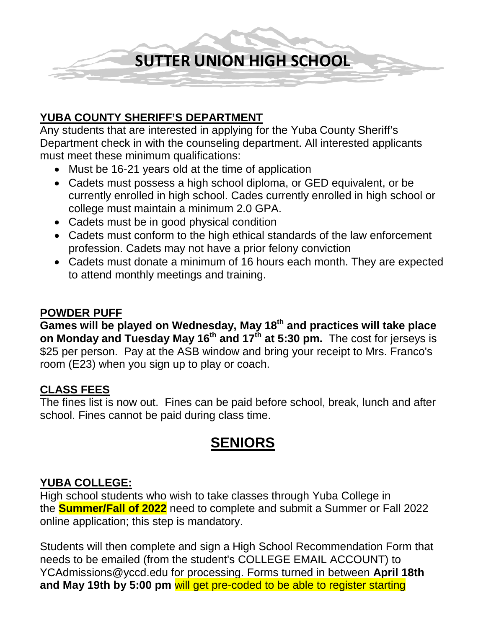**SUTTER UNION HIGH SCHOOL**

# **YUBA COUNTY SHERIFF'S DEPARTMENT**

Any students that are interested in applying for the Yuba County Sheriff's Department check in with the counseling department. All interested applicants must meet these minimum qualifications:

- Must be 16-21 years old at the time of application
- Cadets must possess a high school diploma, or GED equivalent, or be currently enrolled in high school. Cades currently enrolled in high school or college must maintain a minimum 2.0 GPA.
- Cadets must be in good physical condition
- Cadets must conform to the high ethical standards of the law enforcement profession. Cadets may not have a prior felony conviction
- Cadets must donate a minimum of 16 hours each month. They are expected to attend monthly meetings and training.

#### **POWDER PUFF**

**Games will be played on Wednesday, May 18th and practices will take place on Monday and Tuesday May 16th and 17th at 5:30 pm.** The cost for jerseys is \$25 per person. Pay at the ASB window and bring your receipt to Mrs. Franco's room (E23) when you sign up to play or coach.

## **CLASS FEES**

The fines list is now out. Fines can be paid before school, break, lunch and after school. Fines cannot be paid during class time.

# **SENIORS**

## **YUBA COLLEGE:**

High school students who wish to take classes through Yuba College in the **Summer/Fall of 2022** need to complete and submit a Summer or Fall 2022 online application; this step is mandatory.

Students will then complete and sign a High School Recommendation Form that needs to be emailed (from the student's COLLEGE EMAIL ACCOUNT) to YCAdmissions@yccd.edu for processing. Forms turned in between **April 18th and May 19th by 5:00 pm** will get pre-coded to be able to register starting